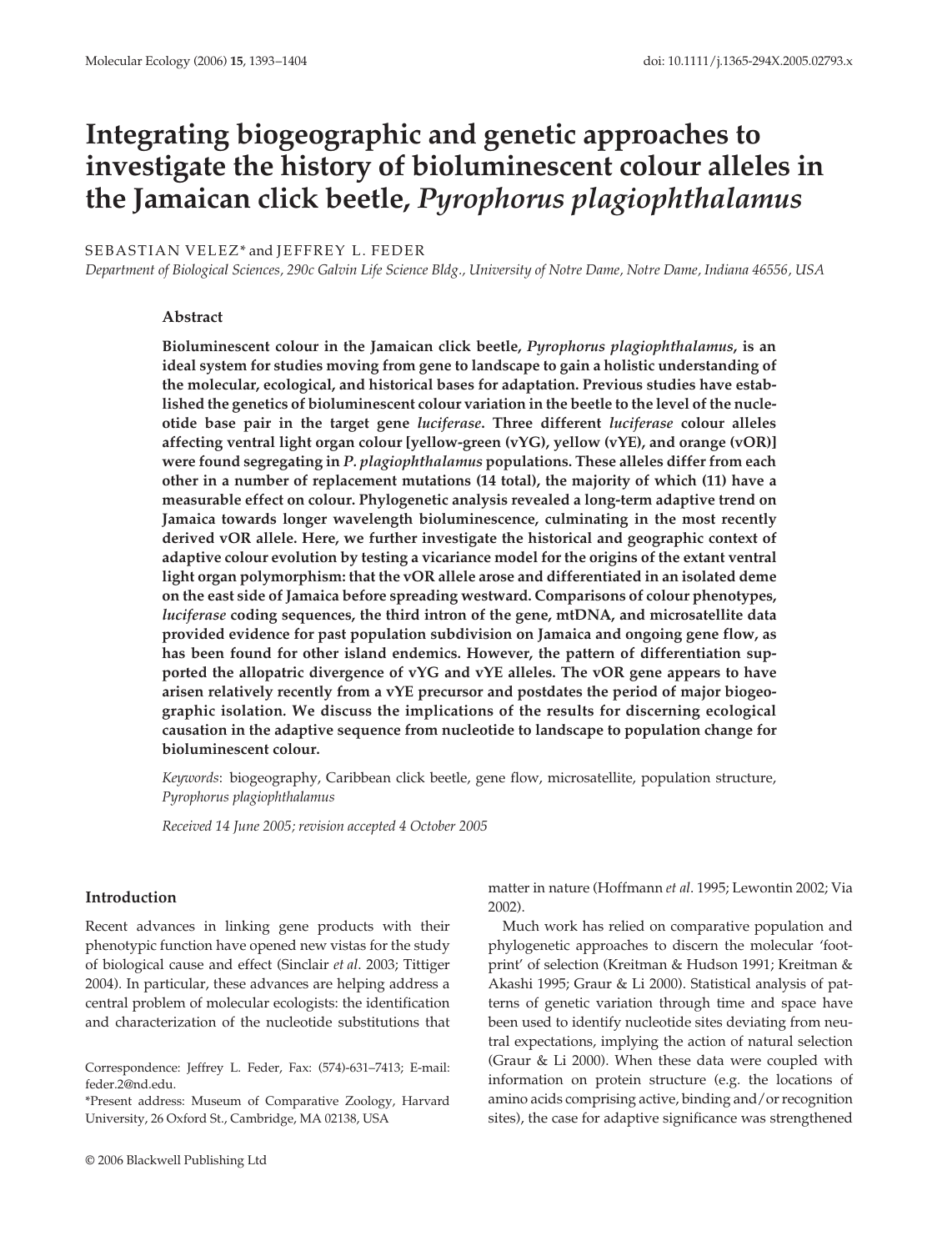# Integrating biogeographic and genetic approaches to **investigate the history of bioluminescent colour alleles in the Jamaican click beetle,** *Pyrophorus plagiophthalamus*

## SEBASTIAN VELEZ\* and JEFFREY L. FEDER

*Department of Biological Sciences, 290c Galvin Life Science Bldg., University of Notre Dame, Notre Dame, Indiana 46556, USA* 

# **Abstract**

**Bioluminescent colour in the Jamaican click beetle,** *Pyrophorus plagiophthalamus***, is an ideal system for studies moving from gene to landscape to gain a holistic understanding of the molecular, ecological, and historical bases for adaptation. Previous studies have established the genetics of bioluminescent colour variation in the beetle to the level of the nucleotide base pair in the target gene** *luciferase***. Three different** *luciferase* **colour alleles affecting ventral light organ colour [yellow-green (vYG), yellow (vYE), and orange (vOR)] were found segregating in** *P. plagiophthalamus* **populations. These alleles differ from each other in a number of replacement mutations (14 total), the majority of which (11) have a measurable effect on colour. Phylogenetic analysis revealed a long-term adaptive trend on Jamaica towards longer wavelength bioluminescence, culminating in the most recently derived vOR allele. Here, we further investigate the historical and geographic context of adaptive colour evolution by testing a vicariance model for the origins of the extant ventral light organ polymorphism: that the vOR allele arose and differentiated in an isolated deme on the east side of Jamaica before spreading westward. Comparisons of colour phenotypes,** *luciferase* **coding sequences, the third intron of the gene, mtDNA, and microsatellite data provided evidence for past population subdivision on Jamaica and ongoing gene flow, as has been found for other island endemics. However, the pattern of differentiation supported the allopatric divergence of vYG and vYE alleles. The vOR gene appears to have arisen relatively recently from a vYE precursor and postdates the period of major biogeographic isolation***.* **We discuss the implications of the results for discerning ecological causation in the adaptive sequence from nucleotide to landscape to population change for bioluminescent colour.**

*Keywords*: biogeography, Caribbean click beetle, gene flow, microsatellite, population structure, *Pyrophorus plagiophthalamus*

*Received 14 June 2005; revision accepted 4 October 2005*

#### **Introduction**

Recent advances in linking gene products with their phenotypic function have opened new vistas for the study of biological cause and effect (Sinclair *et al*. 2003; Tittiger 2004). In particular, these advances are helping address a central problem of molecular ecologists: the identification and characterization of the nucleotide substitutions that

Correspondence: Jeffrey L. Feder, Fax: (574)-631–7413; E-mail: feder.2@nd.edu.

\*Present address: Museum of Comparative Zoology, Harvard University, 26 Oxford St., Cambridge, MA 02138, USA

matter in nature (Hoffmann *et al*. 1995; Lewontin 2002; Via 2002).

Much work has relied on comparative population and phylogenetic approaches to discern the molecular 'footprint' of selection (Kreitman & Hudson 1991; Kreitman & Akashi 1995; Graur & Li 2000). Statistical analysis of patterns of genetic variation through time and space have been used to identify nucleotide sites deviating from neutral expectations, implying the action of natural selection (Graur & Li 2000). When these data were coupled with information on protein structure (e.g. the locations of amino acids comprising active, binding and/or recognition sites), the case for adaptive significance was strengthened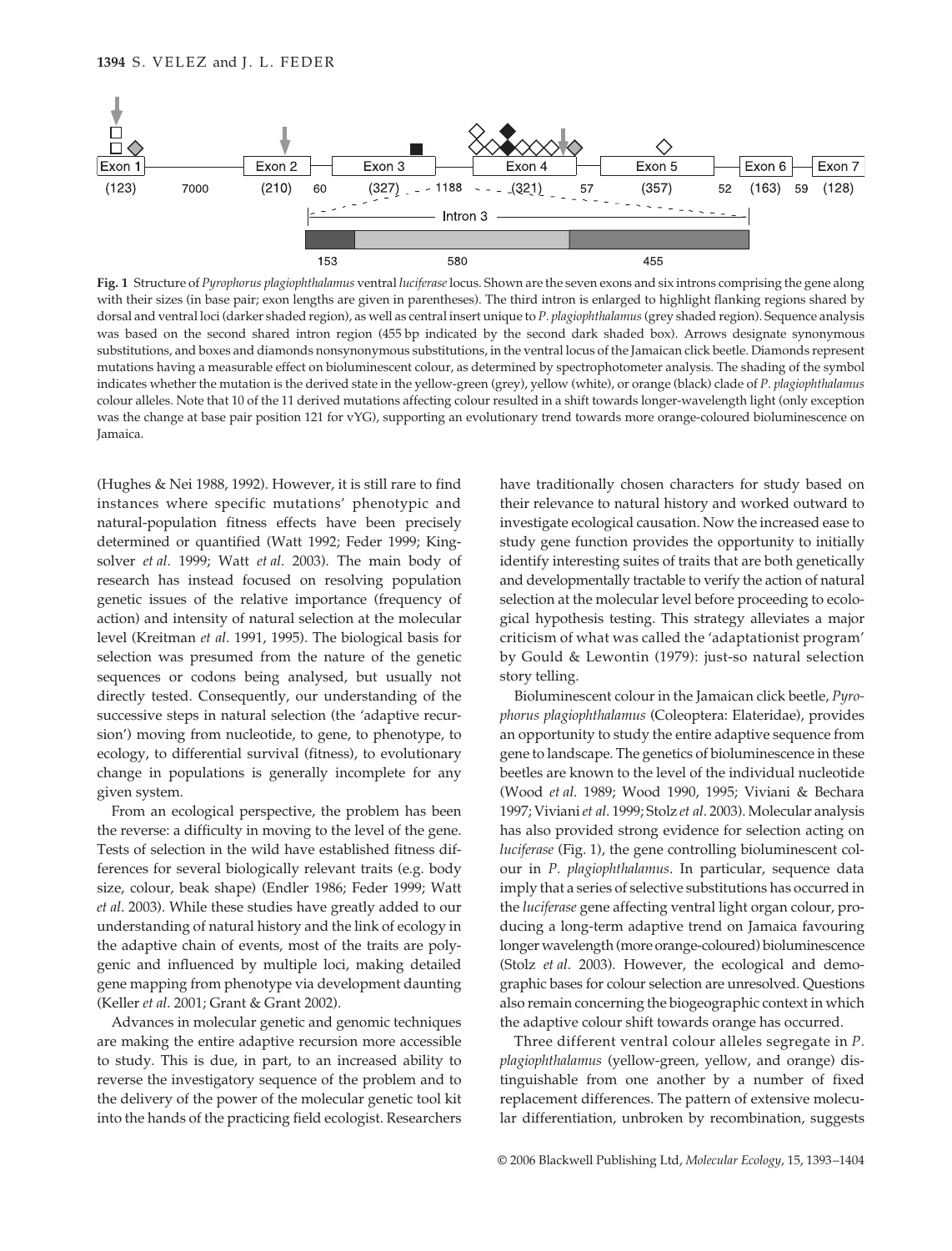

**Fig. 1** Structure of *Pyrophorus plagiophthalamus* ventral *luciferase*locus. Shown are the seven exons and six introns comprising the gene along with their sizes (in base pair; exon lengths are given in parentheses). The third intron is enlarged to highlight flanking regions shared by dorsal and ventral loci (darker shaded region), as well as central insert unique to *P. plagiophthalamus*(grey shaded region). Sequence analysis was based on the second shared intron region (455 bp indicated by the second dark shaded box). Arrows designate synonymous substitutions, and boxes and diamonds nonsynonymous substitutions, in the ventral locus of the Jamaican click beetle. Diamonds represent mutations having a measurable effect on bioluminescent colour, as determined by spectrophotometer analysis. The shading of the symbol indicates whether the mutation is the derived state in the yellow-green (grey), yellow (white), or orange (black) clade of *P. plagiophthalamus* colour alleles. Note that 10 of the 11 derived mutations affecting colour resulted in a shift towards longer-wavelength light (only exception was the change at base pair position 121 for vYG), supporting an evolutionary trend towards more orange-coloured bioluminescence on Jamaica.

(Hughes & Nei 1988, 1992). However, it is still rare to find instances where specific mutations' phenotypic and natural-population fitness effects have been precisely determined or quantified (Watt 1992; Feder 1999; Kingsolver *et al*. 1999; Watt *et al*. 2003). The main body of research has instead focused on resolving population genetic issues of the relative importance (frequency of action) and intensity of natural selection at the molecular level (Kreitman *et al.* 1991, 1995). The biological basis for selection was presumed from the nature of the genetic sequences or codons being analysed, but usually not directly tested. Consequently, our understanding of the successive steps in natural selection (the 'adaptive recursion') moving from nucleotide, to gene, to phenotype, to ecology, to differential survival (fitness), to evolutionary change in populations is generally incomplete for any given system.

From an ecological perspective, the problem has been the reverse: a difficulty in moving to the level of the gene. Tests of selection in the wild have established fitness differences for several biologically relevant traits (e.g. body size, colour, beak shape) (Endler 1986; Feder 1999; Watt *et al*. 2003). While these studies have greatly added to our understanding of natural history and the link of ecology in the adaptive chain of events, most of the traits are polygenic and influenced by multiple loci, making detailed gene mapping from phenotype via development daunting (Keller *et al*. 2001; Grant & Grant 2002).

Advances in molecular genetic and genomic techniques are making the entire adaptive recursion more accessible to study. This is due, in part, to an increased ability to reverse the investigatory sequence of the problem and to the delivery of the power of the molecular genetic tool kit into the hands of the practicing field ecologist. Researchers

have traditionally chosen characters for study based on their relevance to natural history and worked outward to investigate ecological causation. Now the increased ease to study gene function provides the opportunity to initially identify interesting suites of traits that are both genetically and developmentally tractable to verify the action of natural selection at the molecular level before proceeding to ecological hypothesis testing. This strategy alleviates a major criticism of what was called the 'adaptationist program' by Gould & Lewontin (1979): just-so natural selection story telling.

Bioluminescent colour in the Jamaican click beetle, *Pyrophorus plagiophthalamus* (Coleoptera: Elateridae), provides an opportunity to study the entire adaptive sequence from gene to landscape. The genetics of bioluminescence in these beetles are known to the level of the individual nucleotide (Wood *et al*. 1989; Wood 1990, 1995; Viviani & Bechara 1997; Viviani *et al*. 1999; Stolz *et al*. 2003). Molecular analysis has also provided strong evidence for selection acting on *luciferase* (Fig. 1), the gene controlling bioluminescent colour in *P. plagiophthalamus*. In particular, sequence data imply that a series of selective substitutions has occurred in the *luciferase* gene affecting ventral light organ colour, producing a long-term adaptive trend on Jamaica favouring longer wavelength (more orange-coloured) bioluminescence (Stolz *et al*. 2003). However, the ecological and demographic bases for colour selection are unresolved. Questions also remain concerning the biogeographic context in which the adaptive colour shift towards orange has occurred.

Three different ventral colour alleles segregate in *P. plagiophthalamus* (yellow-green, yellow, and orange) distinguishable from one another by a number of fixed replacement differences. The pattern of extensive molecular differentiation, unbroken by recombination, suggests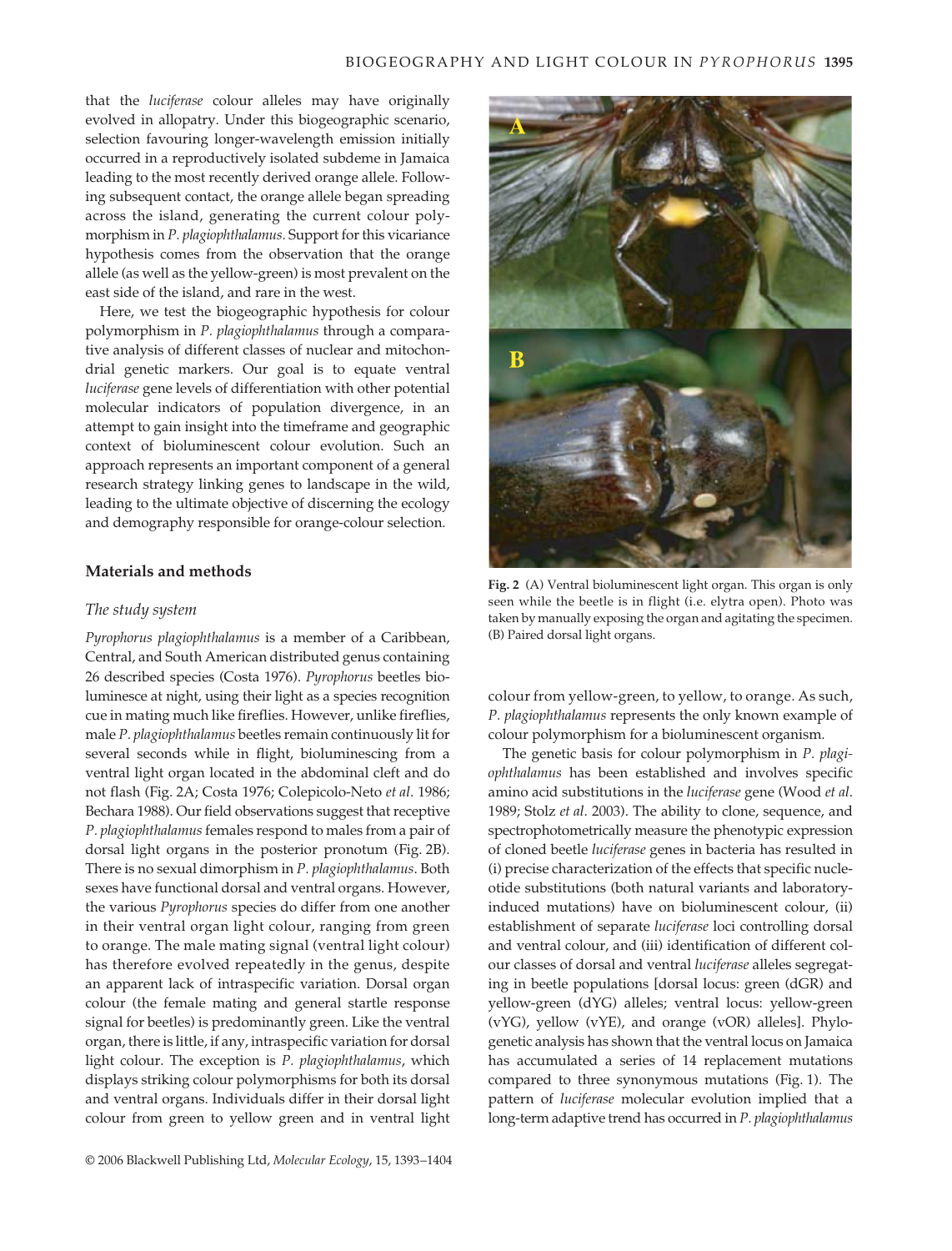that the *luciferase* colour alleles may have originally evolved in allopatry. Under this biogeographic scenario, selection favouring longer-wavelength emission initially occurred in a reproductively isolated subdeme in Jamaica leading to the most recently derived orange allele. Following subsequent contact, the orange allele began spreading across the island, generating the current colour polymorphism in *P. plagiophthalamus.* Support for this vicariance hypothesis comes from the observation that the orange allele (as well as the yellow-green) is most prevalent on the east side of the island, and rare in the west.

Here, we test the biogeographic hypothesis for colour polymorphism in *P. plagiophthalamus* through a comparative analysis of different classes of nuclear and mitochondrial genetic markers. Our goal is to equate ventral *luciferase* gene levels of differentiation with other potential molecular indicators of population divergence, in an attempt to gain insight into the timeframe and geographic context of bioluminescent colour evolution. Such an approach represents an important component of a general research strategy linking genes to landscape in the wild, leading to the ultimate objective of discerning the ecology and demography responsible for orange-colour selection.

# **Materials and methods**

#### *The study system*

*Pyrophorus plagiophthalamus* is a member of a Caribbean, Central, and South American distributed genus containing 26 described species (Costa 1976). *Pyrophorus* beetles bioluminesce at night, using their light as a species recognition cue in mating much like fireflies. However, unlike fireflies, male *P. plagiophthalamus* beetles remain continuously lit for several seconds while in flight, bioluminescing from a ventral light organ located in the abdominal cleft and do not flash (Fig. 2A; Costa 1976; Colepicolo-Neto *et al*. 1986; Bechara 1988). Our field observations suggest that receptive *P. plagiophthalamus*females respond to males from a pair of dorsal light organs in the posterior pronotum (Fig. 2B). There is no sexual dimorphism in *P. plagiophthalamus*. Both sexes have functional dorsal and ventral organs. However, the various *Pyrophorus* species do differ from one another in their ventral organ light colour, ranging from green to orange. The male mating signal (ventral light colour) has therefore evolved repeatedly in the genus, despite an apparent lack of intraspecific variation. Dorsal organ colour (the female mating and general startle response signal for beetles) is predominantly green. Like the ventral organ, there is little, if any, intraspecific variation for dorsal light colour. The exception is *P. plagiophthalamus*, which displays striking colour polymorphisms for both its dorsal and ventral organs. Individuals differ in their dorsal light colour from green to yellow green and in ventral light



**Fig. 2** (A) Ventral bioluminescent light organ. This organ is only seen while the beetle is in flight (i.e. elytra open). Photo was taken by manually exposing the organ and agitating the specimen. (B) Paired dorsal light organs.

colour from yellow-green, to yellow, to orange. As such, *P. plagiophthalamus* represents the only known example of colour polymorphism for a bioluminescent organism.

The genetic basis for colour polymorphism in *P. plagiophthalamus* has been established and involves specific amino acid substitutions in the *luciferase* gene (Wood *et al*. 1989; Stolz *et al*. 2003). The ability to clone, sequence, and spectrophotometrically measure the phenotypic expression of cloned beetle *luciferase* genes in bacteria has resulted in (i) precise characterization of the effects that specific nucleotide substitutions (both natural variants and laboratoryinduced mutations) have on bioluminescent colour, (ii) establishment of separate *luciferase* loci controlling dorsal and ventral colour, and (iii) identification of different colour classes of dorsal and ventral *luciferase* alleles segregating in beetle populations [dorsal locus: green (dGR) and yellow-green (dYG) alleles; ventral locus: yellow-green (vYG), yellow (vYE), and orange (vOR) alleles]. Phylogenetic analysis has shown that the ventral locus on Jamaica has accumulated a series of 14 replacement mutations compared to three synonymous mutations (Fig. 1). The pattern of *luciferase* molecular evolution implied that a long-term adaptive trend has occurred in *P. plagiophthalamus*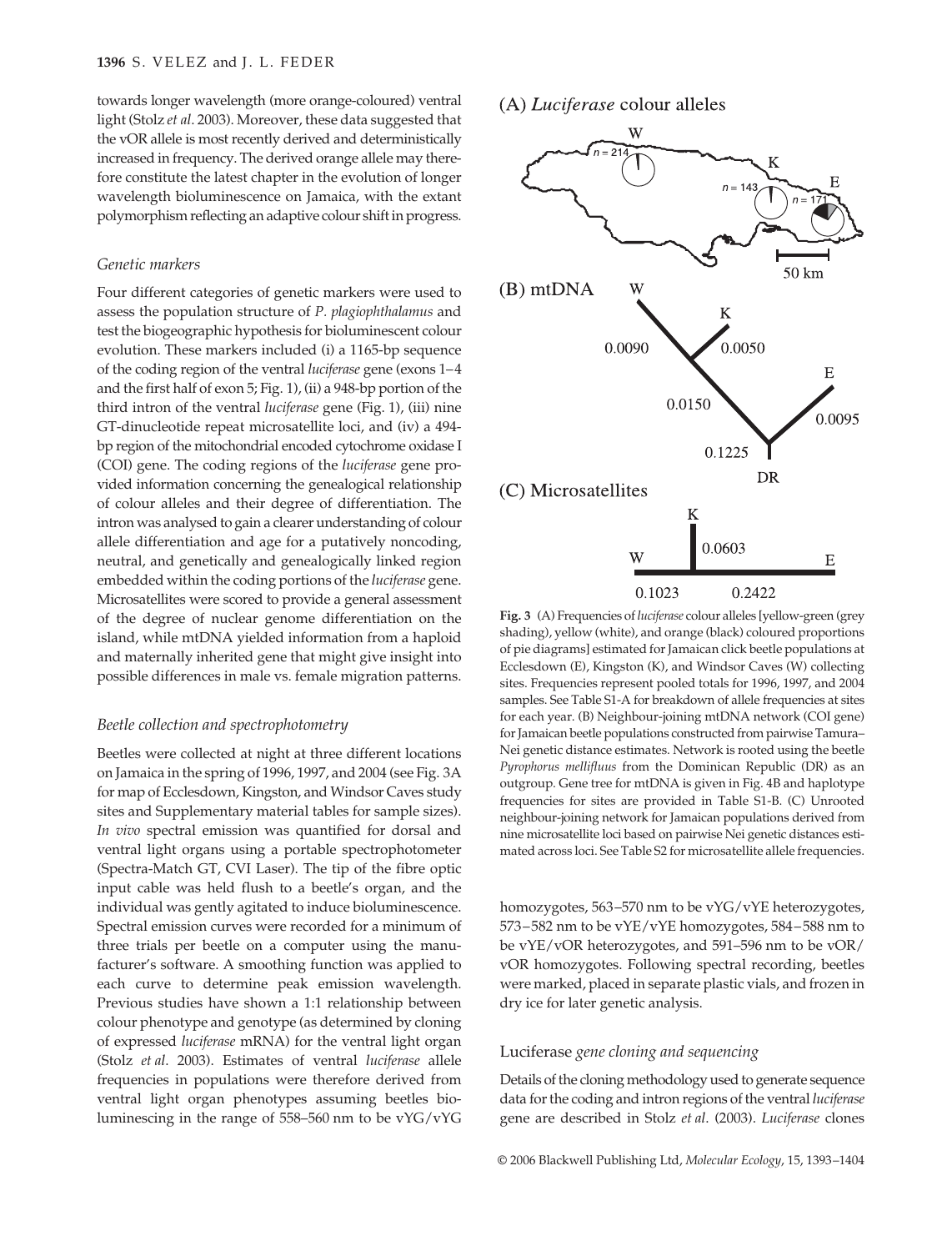towards longer wavelength (more orange-coloured) ventral light (Stolz *et al*. 2003). Moreover, these data suggested that the vOR allele is most recently derived and deterministically increased in frequency. The derived orange allele may therefore constitute the latest chapter in the evolution of longer wavelength bioluminescence on Jamaica, with the extant polymorphism reflecting an adaptive colour shift in progress.

## *Genetic markers*

Four different categories of genetic markers were used to assess the population structure of *P. plagiophthalamus* and test the biogeographic hypothesis for bioluminescent colour evolution. These markers included (i) a 1165-bp sequence of the coding region of the ventral *luciferase* gene (exons 1–4 and the first half of exon 5; Fig. 1), (ii) a 948-bp portion of the third intron of the ventral *luciferase* gene (Fig. 1), (iii) nine GT-dinucleotide repeat microsatellite loci, and (iv) a 494 bp region of the mitochondrial encoded cytochrome oxidase I (COI) gene. The coding regions of the *luciferase* gene provided information concerning the genealogical relationship of colour alleles and their degree of differentiation. The intron was analysed to gain a clearer understanding of colour allele differentiation and age for a putatively noncoding, neutral, and genetically and genealogically linked region embedded within the coding portions of the *luciferase* gene. Microsatellites were scored to provide a general assessment of the degree of nuclear genome differentiation on the island, while mtDNA yielded information from a haploid and maternally inherited gene that might give insight into possible differences in male vs. female migration patterns.

#### *Beetle collection and spectrophotometry*

Beetles were collected at night at three different locations on Jamaica in the spring of 1996, 1997, and 2004 (see Fig. 3A for map of Ecclesdown, Kingston, and Windsor Caves study sites and Supplementary material tables for sample sizes). *In vivo* spectral emission was quantified for dorsal and ventral light organs using a portable spectrophotometer (Spectra-Match GT, CVI Laser). The tip of the fibre optic input cable was held flush to a beetle's organ, and the individual was gently agitated to induce bioluminescence. Spectral emission curves were recorded for a minimum of three trials per beetle on a computer using the manufacturer's software. A smoothing function was applied to each curve to determine peak emission wavelength. Previous studies have shown a 1:1 relationship between colour phenotype and genotype (as determined by cloning of expressed *luciferase* mRNA) for the ventral light organ (Stolz *et al*. 2003). Estimates of ventral *luciferase* allele frequencies in populations were therefore derived from ventral light organ phenotypes assuming beetles bioluminescing in the range of 558–560 nm to be vYG/vYG (A) *Luciferase* colour alleles



**Fig. 3** (A) Frequencies of *luciferase* colour alleles [yellow-green (grey shading), yellow (white), and orange (black) coloured proportions of pie diagrams] estimated for Jamaican click beetle populations at Ecclesdown (E), Kingston (K), and Windsor Caves (W) collecting sites. Frequencies represent pooled totals for 1996, 1997, and 2004 samples. See Table S1-A for breakdown of allele frequencies at sites for each year. (B) Neighbour-joining mtDNA network (COI gene) for Jamaican beetle populations constructed from pairwise Tamura– Nei genetic distance estimates. Network is rooted using the beetle *Pyrophorus mellifluus* from the Dominican Republic (DR) as an outgroup. Gene tree for mtDNA is given in Fig. 4B and haplotype frequencies for sites are provided in Table S1-B. (C) Unrooted neighbour-joining network for Jamaican populations derived from nine microsatellite loci based on pairwise Nei genetic distances estimated across loci. See Table S2 for microsatellite allele frequencies.

homozygotes, 563–570 nm to be vYG/vYE heterozygotes, 573–582 nm to be vYE/vYE homozygotes, 584–588 nm to be vYE/vOR heterozygotes, and 591–596 nm to be vOR/ vOR homozygotes. Following spectral recording, beetles were marked, placed in separate plastic vials, and frozen in dry ice for later genetic analysis.

# Luciferase *gene cloning and sequencing*

Details of the cloning methodology used to generate sequence data for the coding and intron regions of the ventral *luciferase* gene are described in Stolz *et al*. (2003). *Luciferase* clones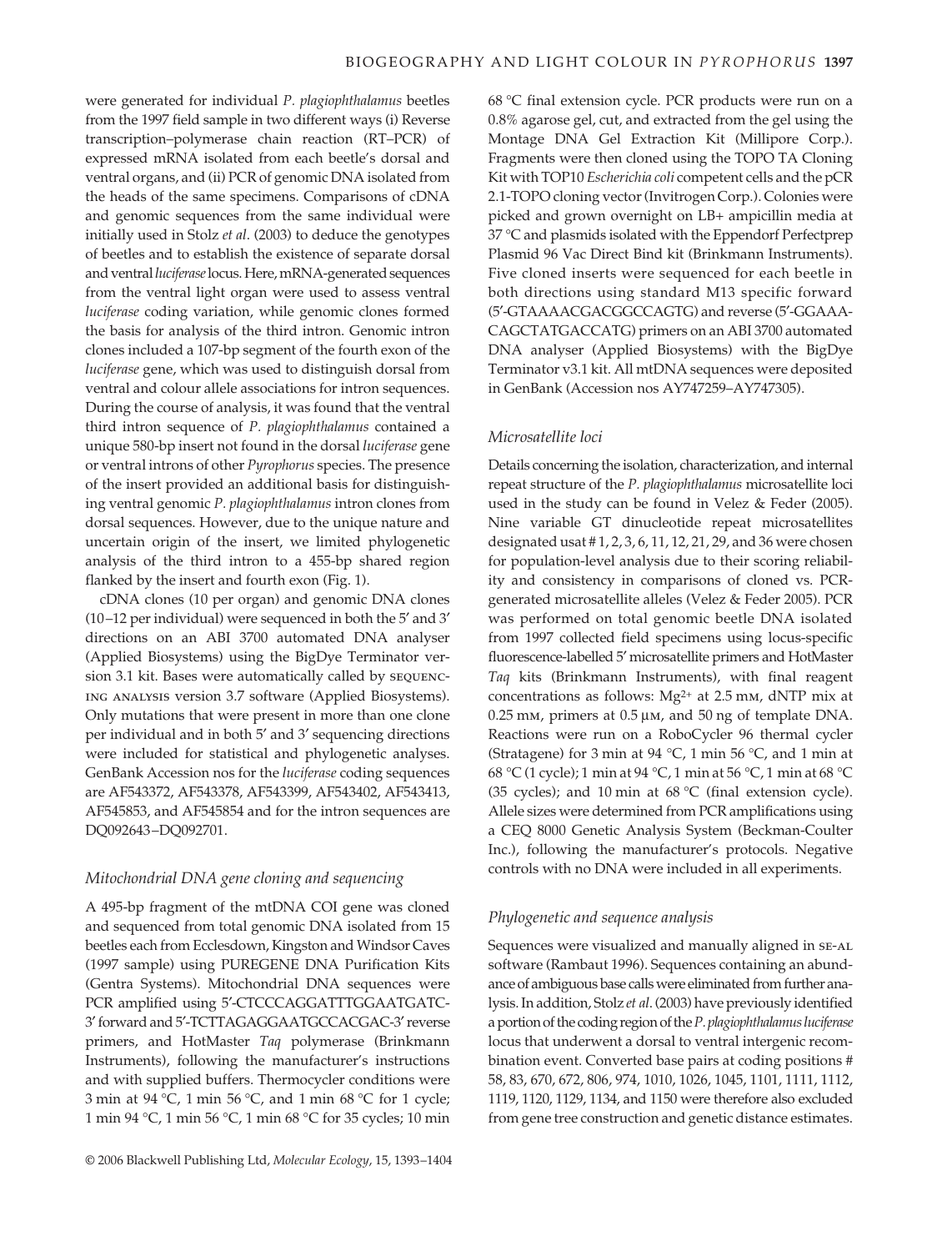were generated for individual *P. plagiophthalamus* beetles from the 1997 field sample in two different ways (i) Reverse transcription–polymerase chain reaction (RT–PCR) of expressed mRNA isolated from each beetle's dorsal and ventral organs, and (ii) PCR of genomic DNA isolated from the heads of the same specimens. Comparisons of cDNA and genomic sequences from the same individual were initially used in Stolz *et al*. (2003) to deduce the genotypes of beetles and to establish the existence of separate dorsal and ventral *luciferase*locus. Here, mRNA-generated sequences from the ventral light organ were used to assess ventral *luciferase* coding variation, while genomic clones formed the basis for analysis of the third intron. Genomic intron clones included a 107-bp segment of the fourth exon of the *luciferase* gene, which was used to distinguish dorsal from ventral and colour allele associations for intron sequences. During the course of analysis, it was found that the ventral third intron sequence of *P. plagiophthalamus* contained a unique 580-bp insert not found in the dorsal *luciferase* gene or ventral introns of other *Pyrophorus* species. The presence of the insert provided an additional basis for distinguishing ventral genomic *P. plagiophthalamus* intron clones from dorsal sequences. However, due to the unique nature and uncertain origin of the insert, we limited phylogenetic analysis of the third intron to a 455-bp shared region flanked by the insert and fourth exon (Fig. 1).

cDNA clones (10 per organ) and genomic DNA clones (10–12 per individual) were sequenced in both the 5′ and 3′ directions on an ABI 3700 automated DNA analyser (Applied Biosystems) using the BigDye Terminator version 3.1 kit. Bases were automatically called by sequencing analysis version 3.7 software (Applied Biosystems). Only mutations that were present in more than one clone per individual and in both 5′ and 3′ sequencing directions were included for statistical and phylogenetic analyses. GenBank Accession nos for the *luciferase* coding sequences are AF543372, AF543378, AF543399, AF543402, AF543413, AF545853, and AF545854 and for the intron sequences are DQ092643–DQ092701.

# *Mitochondrial DNA gene cloning and sequencing*

A 495-bp fragment of the mtDNA COI gene was cloned and sequenced from total genomic DNA isolated from 15 beetles each from Ecclesdown, Kingston and Windsor Caves (1997 sample) using PUREGENE DNA Purification Kits (Gentra Systems). Mitochondrial DNA sequences were PCR amplified using 5′-CTCCCAGGATTTGGAATGATC-3′forward and 5′-TCTTAGAGGAATGCCACGAC-3′reverse primers, and HotMaster *Taq* polymerase (Brinkmann Instruments), following the manufacturer's instructions and with supplied buffers. Thermocycler conditions were 3 min at 94 °C, 1 min 56 °C, and 1 min 68 °C for 1 cycle; 1 min 94 °C, 1 min 56 °C, 1 min 68 °C for 35 cycles; 10 min

68 °C final extension cycle. PCR products were run on a 0.8% agarose gel, cut, and extracted from the gel using the Montage DNA Gel Extraction Kit (Millipore Corp.). Fragments were then cloned using the TOPO TA Cloning Kit with TOP10 *Escherichia coli* competent cells and the pCR 2.1-TOPO cloning vector (Invitrogen Corp.). Colonies were picked and grown overnight on LB+ ampicillin media at 37 °C and plasmids isolated with the Eppendorf Perfectprep Plasmid 96 Vac Direct Bind kit (Brinkmann Instruments). Five cloned inserts were sequenced for each beetle in both directions using standard M13 specific forward (5′-GTAAAACGACGGCCAGTG) and reverse (5′-GGAAA-CAGCTATGACCATG) primers on an ABI 3700 automated DNA analyser (Applied Biosystems) with the BigDye Terminator v3.1 kit. All mtDNA sequences were deposited in GenBank (Accession nos AY747259–AY747305).

#### *Microsatellite loci*

Details concerning the isolation, characterization, and internal repeat structure of the *P. plagiophthalamus* microsatellite loci used in the study can be found in Velez & Feder (2005). Nine variable GT dinucleotide repeat microsatellites designated usat # 1, 2, 3, 6, 11, 12, 21, 29, and 36 were chosen for population-level analysis due to their scoring reliability and consistency in comparisons of cloned vs. PCRgenerated microsatellite alleles (Velez & Feder 2005). PCR was performed on total genomic beetle DNA isolated from 1997 collected field specimens using locus-specific fluorescence-labelled 5′ microsatellite primers and HotMaster *Taq* kits (Brinkmann Instruments), with final reagent concentrations as follows: Mg2+ at 2.5 mm, dNTP mix at 0.25 mm, primers at 0.5 µm, and 50 ng of template DNA. Reactions were run on a RoboCycler 96 thermal cycler (Stratagene) for 3 min at 94 °C, 1 min 56 °C, and 1 min at 68 °C (1 cycle); 1 min at 94 °C, 1 min at 56 °C, 1 min at 68 °C (35 cycles); and 10 min at 68 °C (final extension cycle). Allele sizes were determined from PCR amplifications using a CEQ 8000 Genetic Analysis System (Beckman-Coulter Inc.), following the manufacturer's protocols. Negative controls with no DNA were included in all experiments.

# *Phylogenetic and sequence analysis*

Sequences were visualized and manually aligned in SE-AL software (Rambaut 1996). Sequences containing an abundance of ambiguous base calls were eliminated from further analysis. In addition, Stolz *et al*. (2003) have previously identified a portion of the coding region of the *P. plagiophthalamus luciferase* locus that underwent a dorsal to ventral intergenic recombination event. Converted base pairs at coding positions # 58, 83, 670, 672, 806, 974, 1010, 1026, 1045, 1101, 1111, 1112, 1119, 1120, 1129, 1134, and 1150 were therefore also excluded from gene tree construction and genetic distance estimates.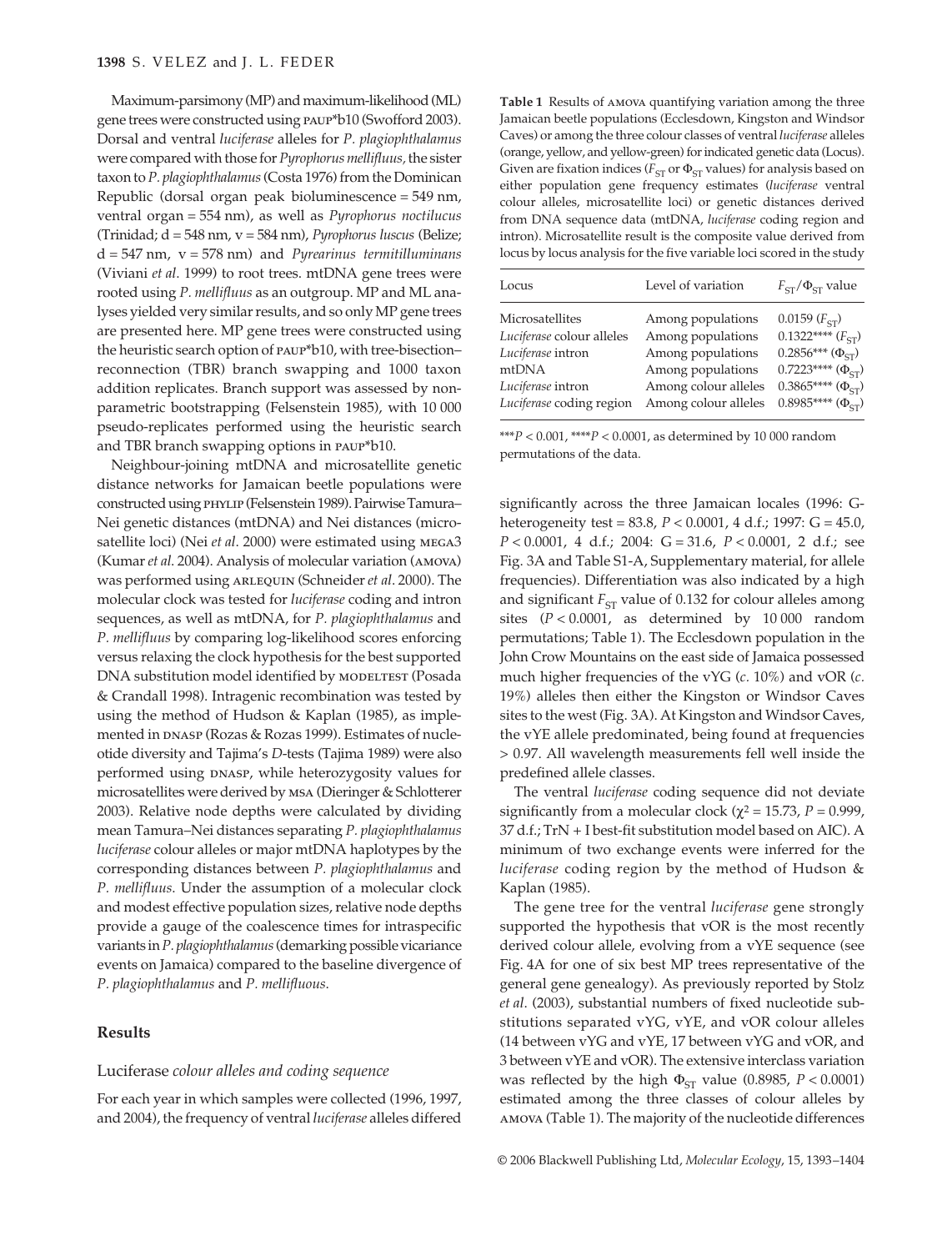Maximum-parsimony (MP) and maximum-likelihood (ML) gene trees were constructed using paup\*b10 (Swofford 2003). Dorsal and ventral *luciferase* alleles for *P. plagiophthalamus* were compared with those for *Pyrophorus mellifluus,*the sister taxon to *P. plagiophthalamus*(Costa 1976) from the Dominican Republic (dorsal organ peak bioluminescence = 549 nm, ventral organ = 554 nm), as well as *Pyrophorus noctilucus* (Trinidad; d = 548 nm, v = 584 nm), *Pyrophorus luscus* (Belize; d = 547 nm, v = 578 nm) and *Pyrearinus termitilluminans* (Viviani *et al*. 1999) to root trees. mtDNA gene trees were rooted using *P. mellifluus* as an outgroup. MP and ML analyses yielded very similar results, and so only MP gene trees are presented here. MP gene trees were constructed using the heuristic search option of paup\*b10, with tree-bisection– reconnection (TBR) branch swapping and 1000 taxon addition replicates. Branch support was assessed by nonparametric bootstrapping (Felsenstein 1985), with 10 000 pseudo-replicates performed using the heuristic search and TBR branch swapping options in paup\*b10.

Neighbour-joining mtDNA and microsatellite genetic distance networks for Jamaican beetle populations were constructed using phylip(Felsenstein 1989). Pairwise Tamura– Nei genetic distances (mtDNA) and Nei distances (microsatellite loci) (Nei *et al*. 2000) were estimated using mega3 (Kumar *et al*. 2004). Analysis of molecular variation (amova) was performed using arlequin (Schneider *et al*. 2000). The molecular clock was tested for *luciferase* coding and intron sequences, as well as mtDNA, for *P. plagiophthalamus* and *P. mellifluus* by comparing log-likelihood scores enforcing versus relaxing the clock hypothesis for the best supported DNA substitution model identified by MODELTEST (Posada & Crandall 1998). Intragenic recombination was tested by using the method of Hudson & Kaplan (1985), as implemented in DNASP (Rozas & Rozas 1999). Estimates of nucleotide diversity and Tajima's *D*-tests (Tajima 1989) were also performed using DNASP, while heterozygosity values for microsatellites were derived by msa (Dieringer & Schlotterer 2003). Relative node depths were calculated by dividing mean Tamura–Nei distances separating *P. plagiophthalamus luciferase* colour alleles or major mtDNA haplotypes by the corresponding distances between *P. plagiophthalamus* and *P. mellifluus*. Under the assumption of a molecular clock and modest effective population sizes, relative node depths provide a gauge of the coalescence times for intraspecific variants in *P. plagiophthalamus*(demarking possible vicariance events on Jamaica) compared to the baseline divergence of *P. plagiophthalamus* and *P. mellifluous*.

## **Results**

#### Luciferase *colour alleles and coding sequence*

For each year in which samples were collected (1996, 1997, and 2004), the frequency of ventral *luciferase* alleles differed **Table 1** Results of amova quantifying variation among the three Jamaican beetle populations (Ecclesdown, Kingston and Windsor Caves) or among the three colour classes of ventral *luciferase* alleles (orange, yellow, and yellow-green) for indicated genetic data (Locus). Given are fixation indices ( $F_{ST}$  or  $\Phi_{ST}$  values) for analysis based on either population gene frequency estimates (*luciferase* ventral colour alleles, microsatellite loci) or genetic distances derived from DNA sequence data (mtDNA, *luciferase* coding region and intron). Microsatellite result is the composite value derived from locus by locus analysis for the five variable loci scored in the study

| Level of variation   | $F_{ST}/\Phi_{ST}$ value             |
|----------------------|--------------------------------------|
| Among populations    | $0.0159$ ( $F_{ST}$ )                |
| Among populations    | $0.1322***(F_{ST})$                  |
| Among populations    | $0.2856***$ ( $\Phi$ <sub>ST</sub> ) |
| Among populations    | $0.7223***$ ( $\Phi$ <sub>ST</sub> ) |
| Among colour alleles | $0.3865***$ ( $\Phi$ <sub>ST</sub> ) |
| Among colour alleles | $0.8985***$ ( $\Phi$ <sub>ST</sub> ) |
|                      |                                      |

\*\*\**P* < 0.001, \*\*\*\**P* < 0.0001, as determined by 10 000 random permutations of the data.

significantly across the three Jamaican locales (1996: Gheterogeneity test = 83.8, *P* < 0.0001, 4 d.f.; 1997: G = 45.0, *P* < 0.0001, 4 d.f.; 2004: G = 31.6, *P* < 0.0001, 2 d.f.; see Fig. 3A and Table S1-A, Supplementary material, for allele frequencies). Differentiation was also indicated by a high and significant *F*<sub>ST</sub> value of 0.132 for colour alleles among sites (*P <* 0.0001, as determined by 10 000 random permutations; Table 1). The Ecclesdown population in the John Crow Mountains on the east side of Jamaica possessed much higher frequencies of the vYG (*c.* 10%) and vOR (*c.* 19%) alleles then either the Kingston or Windsor Caves sites to the west (Fig. 3A). At Kingston and Windsor Caves, the vYE allele predominated, being found at frequencies > 0.97. All wavelength measurements fell well inside the predefined allele classes.

The ventral *luciferase* coding sequence did not deviate significantly from a molecular clock ( $\chi^2$  = 15.73, *P* = 0.999, 37 d.f.; TrN + I best-fit substitution model based on AIC). A minimum of two exchange events were inferred for the *luciferase* coding region by the method of Hudson & Kaplan (1985).

The gene tree for the ventral *luciferase* gene strongly supported the hypothesis that vOR is the most recently derived colour allele, evolving from a vYE sequence (see Fig. 4A for one of six best MP trees representative of the general gene genealogy). As previously reported by Stolz *et al*. (2003), substantial numbers of fixed nucleotide substitutions separated vYG, vYE, and vOR colour alleles (14 between vYG and vYE, 17 between vYG and vOR, and 3 between vYE and vOR). The extensive interclass variation was reflected by the high  $\Phi_{ST}$  value (0.8985,  $P < 0.0001$ ) estimated among the three classes of colour alleles by amova (Table 1). The majority of the nucleotide differences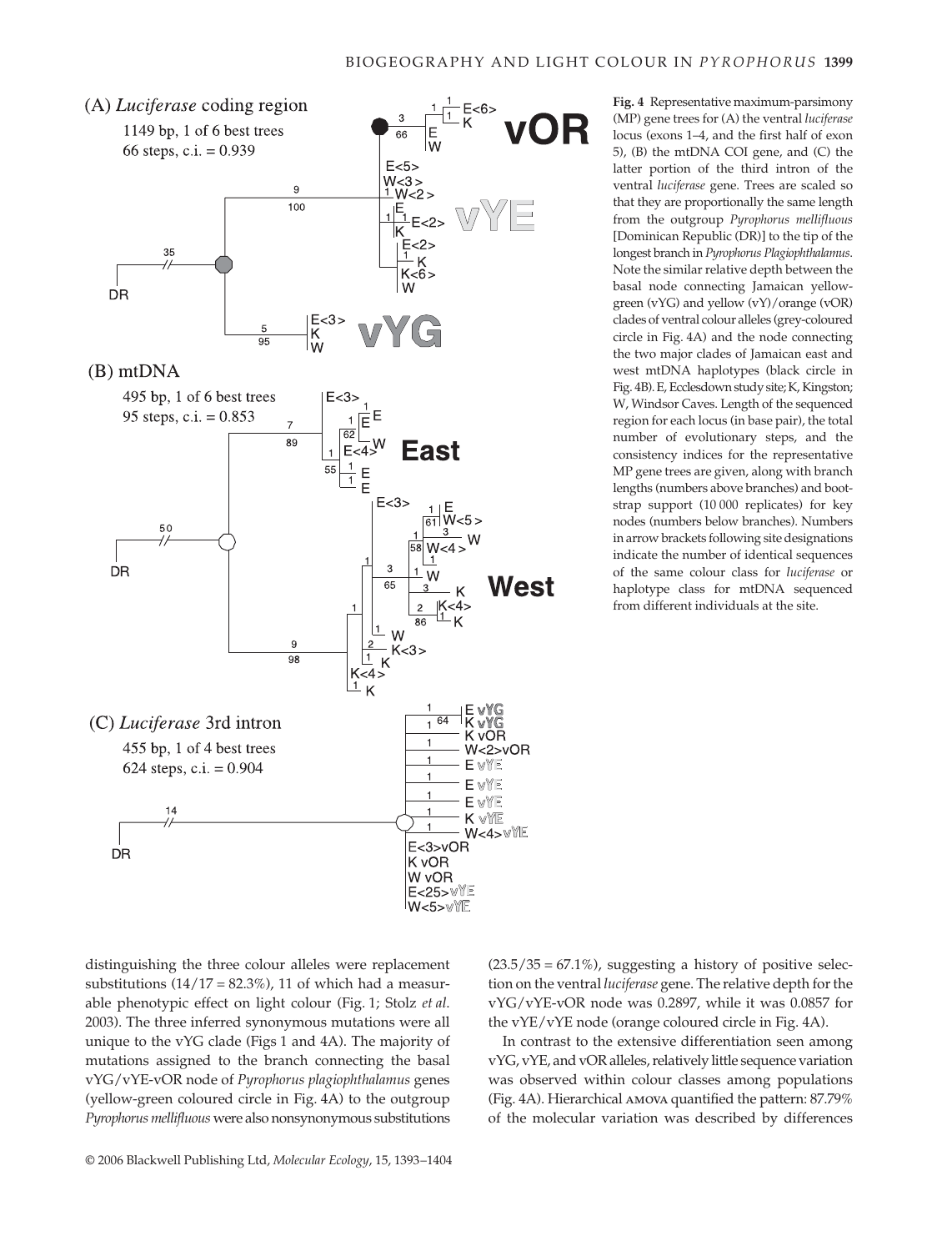

**Fig. 4** Representative maximum-parsimony (MP) gene trees for (A) the ventral *luciferase* locus (exons 1–4, and the first half of exon 5), (B) the mtDNA COI gene, and (C) the latter portion of the third intron of the ventral *luciferase* gene. Trees are scaled so that they are proportionally the same length from the outgroup *Pyrophorus mellifluous* [Dominican Republic (DR)] to the tip of the longest branch in *Pyrophorus Plagiophthalamus*. Note the similar relative depth between the basal node connecting Jamaican yellowgreen (vYG) and yellow (vY)/orange (vOR) clades of ventral colour alleles (grey-coloured circle in Fig. 4A) and the node connecting the two major clades of Jamaican east and west mtDNA haplotypes (black circle in Fig. 4B). E, Ecclesdown study site; K, Kingston; W, Windsor Caves. Length of the sequenced region for each locus (in base pair), the total number of evolutionary steps, and the consistency indices for the representative MP gene trees are given, along with branch lengths (numbers above branches) and bootstrap support (10 000 replicates) for key nodes (numbers below branches). Numbers in arrow brackets following site designations indicate the number of identical sequences of the same colour class for *luciferase* or haplotype class for mtDNA sequenced from different individuals at the site.

distinguishing the three colour alleles were replacement substitutions  $(14/17 = 82.3\%)$ , 11 of which had a measurable phenotypic effect on light colour (Fig. 1; Stolz *et al*. 2003). The three inferred synonymous mutations were all unique to the vYG clade (Figs 1 and 4A). The majority of mutations assigned to the branch connecting the basal vYG/vYE-vOR node of *Pyrophorus plagiophthalamus* genes (yellow-green coloured circle in Fig. 4A) to the outgroup *Pyrophorus mellifluous* were also nonsynonymous substitutions  $(23.5/35 = 67.1\%)$ , suggesting a history of positive selection on the ventral *luciferase* gene. The relative depth for the vYG/vYE-vOR node was 0.2897, while it was 0.0857 for the vYE/vYE node (orange coloured circle in Fig. 4A).

In contrast to the extensive differentiation seen among vYG, vYE, and vOR alleles, relatively little sequence variation was observed within colour classes among populations (Fig. 4A). Hierarchical amova quantified the pattern: 87.79% of the molecular variation was described by differences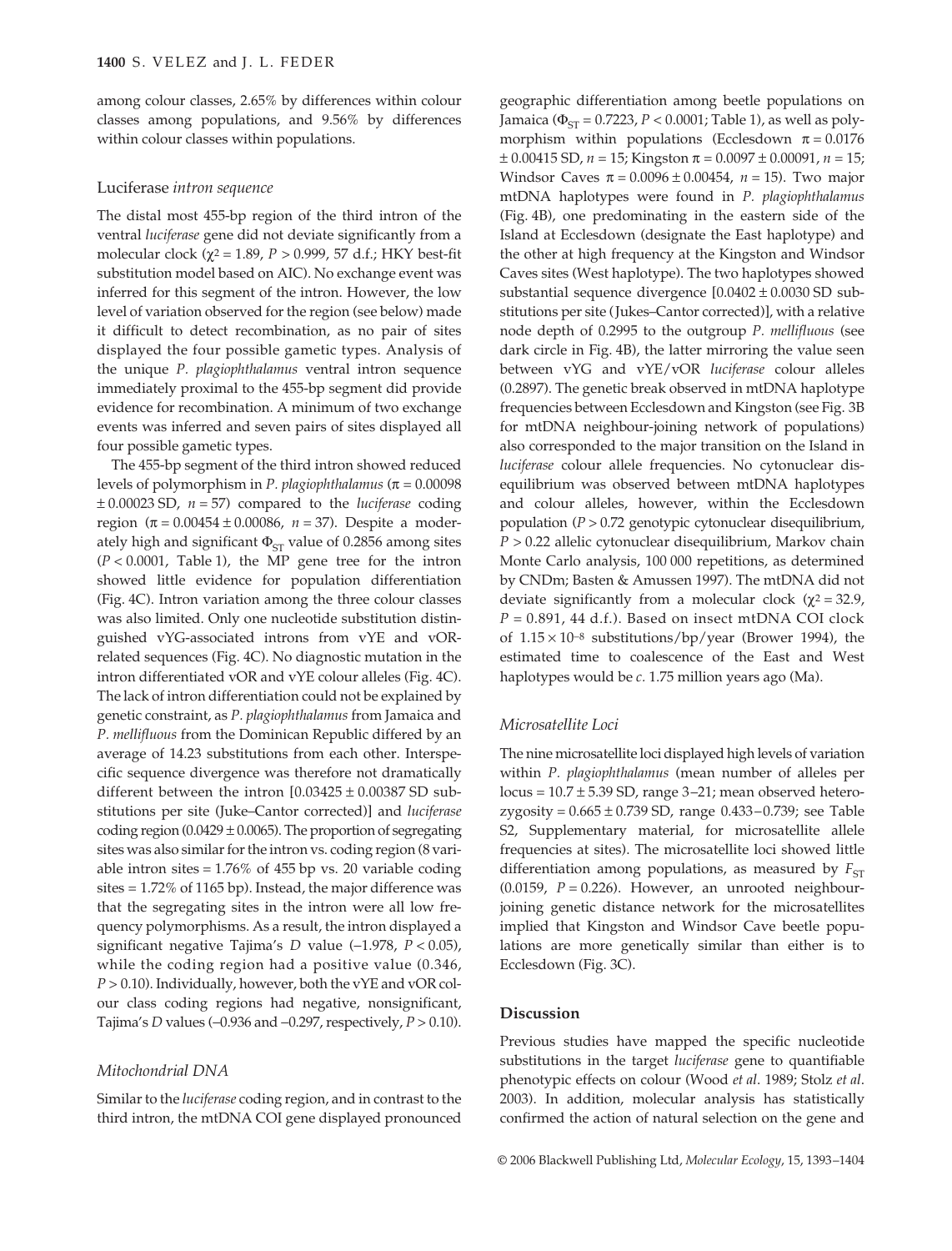among colour classes, 2.65% by differences within colour classes among populations, and 9.56% by differences within colour classes within populations.

#### Luciferase *intron sequence*

The distal most 455-bp region of the third intron of the ventral *luciferase* gene did not deviate significantly from a molecular clock (χ2 = 1.89, *P* > 0.999, 57 d.f.; HKY best-fit substitution model based on AIC). No exchange event was inferred for this segment of the intron. However, the low level of variation observed for the region (see below) made it difficult to detect recombination, as no pair of sites displayed the four possible gametic types. Analysis of the unique *P. plagiophthalamus* ventral intron sequence immediately proximal to the 455-bp segment did provide evidence for recombination. A minimum of two exchange events was inferred and seven pairs of sites displayed all four possible gametic types.

The 455-bp segment of the third intron showed reduced levels of polymorphism in *P. plagiophthalamus* (π = 0.00098 ± 0.00023 SD, *n* = 57) compared to the *luciferase* coding region (π = 0.00454 ± 0.00086, *n* = 37). Despite a moderately high and significant  $\Phi_{ST}$  value of 0.2856 among sites (*P <* 0.0001, Table 1), the MP gene tree for the intron showed little evidence for population differentiation (Fig. 4C). Intron variation among the three colour classes was also limited. Only one nucleotide substitution distinguished vYG-associated introns from vYE and vORrelated sequences (Fig. 4C). No diagnostic mutation in the intron differentiated vOR and vYE colour alleles (Fig. 4C). The lack of intron differentiation could not be explained by genetic constraint, as *P. plagiophthalamus* from Jamaica and *P. mellifluous* from the Dominican Republic differed by an average of 14.23 substitutions from each other. Interspecific sequence divergence was therefore not dramatically different between the intron  $[0.03425 \pm 0.00387$  SD substitutions per site (Juke–Cantor corrected)] and *luciferase* coding region (0.0429  $\pm$  0.0065). The proportion of segregating sites was also similar for the intron vs. coding region (8 variable intron sites = 1.76% of 455 bp vs. 20 variable coding sites = 1.72% of 1165 bp). Instead, the major difference was that the segregating sites in the intron were all low frequency polymorphisms. As a result, the intron displayed a significant negative Tajima's *D* value (−1.978, *P* < 0.05), while the coding region had a positive value (0.346, *P* > 0.10). Individually, however, both the vYE and vOR colour class coding regions had negative, nonsignificant, Tajima's *D* values (−0.936 and −0.297, respectively, *P* > 0.10).

## *Mitochondrial DNA*

Similar to the *luciferase* coding region, and in contrast to the third intron, the mtDNA COI gene displayed pronounced

geographic differentiation among beetle populations on Jamaica ( $\Phi_{ST} = 0.7223$ ,  $P < 0.0001$ ; Table 1), as well as polymorphism within populations (Ecclesdown  $\pi = 0.0176$  $\pm$  0.00415 SD,  $n = 15$ ; Kingston  $\pi = 0.0097 \pm 0.00091$ ,  $n = 15$ ; Windsor Caves  $\pi = 0.0096 \pm 0.00454$ ,  $n = 15$ ). Two major mtDNA haplotypes were found in *P. plagiophthalamus* (Fig. 4B), one predominating in the eastern side of the Island at Ecclesdown (designate the East haplotype) and the other at high frequency at the Kingston and Windsor Caves sites (West haplotype). The two haplotypes showed substantial sequence divergence [0.0402 ± 0.0030 SD substitutions per site (Jukes–Cantor corrected)], with a relative node depth of 0.2995 to the outgroup *P. mellifluous* (see dark circle in Fig. 4B), the latter mirroring the value seen between vYG and vYE/vOR *luciferase* colour alleles (0.2897). The genetic break observed in mtDNA haplotype frequencies between Ecclesdown and Kingston (see Fig. 3B for mtDNA neighbour-joining network of populations) also corresponded to the major transition on the Island in *luciferase* colour allele frequencies. No cytonuclear disequilibrium was observed between mtDNA haplotypes and colour alleles, however, within the Ecclesdown population (*P* > 0.72 genotypic cytonuclear disequilibrium, *P* > 0.22 allelic cytonuclear disequilibrium, Markov chain Monte Carlo analysis, 100 000 repetitions, as determined by CNDm; Basten & Amussen 1997). The mtDNA did not deviate significantly from a molecular clock ( $\chi^2$  = 32.9,  $P = 0.891$ , 44 d.f.). Based on insect mtDNA COI clock of 1.15 × 10−<sup>8</sup> substitutions/bp/year (Brower 1994), the estimated time to coalescence of the East and West haplotypes would be *c.* 1.75 million years ago (Ma).

# *Microsatellite Loci*

The nine microsatellite loci displayed high levels of variation within *P. plagiophthalamus* (mean number of alleles per locus =  $10.7 \pm 5.39$  SD, range 3-21; mean observed heterozygosity = 0.665 ± 0.739 SD, range 0.433–0.739; see Table S2, Supplementary material, for microsatellite allele frequencies at sites). The microsatellite loci showed little differentiation among populations, as measured by  $F_{ST}$ (0.0159,  $P = 0.226$ ). However, an unrooted neighbourjoining genetic distance network for the microsatellites implied that Kingston and Windsor Cave beetle populations are more genetically similar than either is to Ecclesdown (Fig. 3C).

#### **Discussion**

Previous studies have mapped the specific nucleotide substitutions in the target *luciferase* gene to quantifiable phenotypic effects on colour (Wood *et al*. 1989; Stolz *et al*. 2003). In addition, molecular analysis has statistically confirmed the action of natural selection on the gene and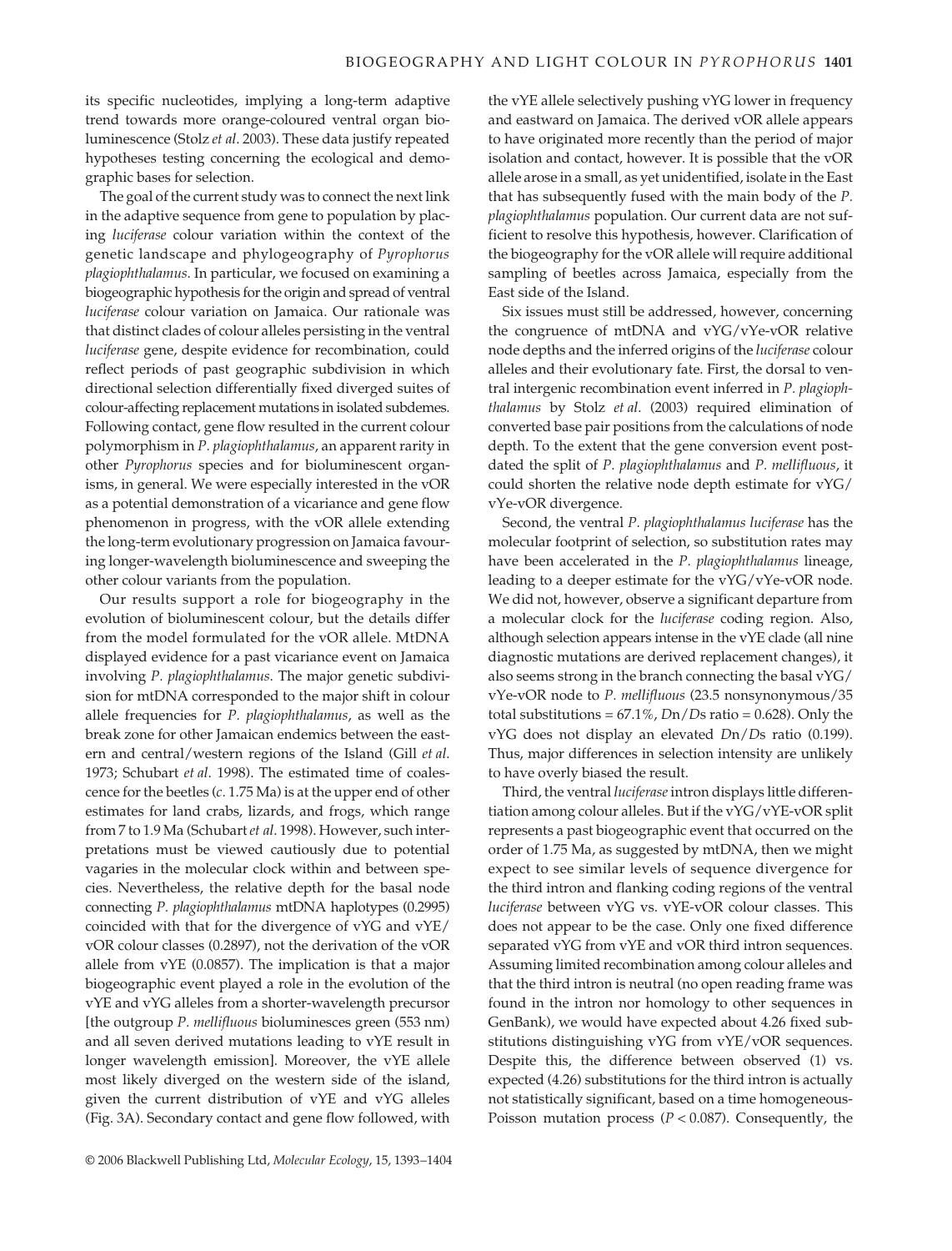its specific nucleotides, implying a long-term adaptive trend towards more orange-coloured ventral organ bioluminescence (Stolz *et al*. 2003). These data justify repeated hypotheses testing concerning the ecological and demographic bases for selection.

The goal of the current study was to connect the next link in the adaptive sequence from gene to population by placing *luciferase* colour variation within the context of the genetic landscape and phylogeography of *Pyrophorus plagiophthalamus*. In particular, we focused on examining a biogeographic hypothesis for the origin and spread of ventral *luciferase* colour variation on Jamaica. Our rationale was that distinct clades of colour alleles persisting in the ventral *luciferase* gene, despite evidence for recombination, could reflect periods of past geographic subdivision in which directional selection differentially fixed diverged suites of colour-affecting replacement mutations in isolated subdemes*.* Following contact, gene flow resulted in the current colour polymorphism in *P. plagiophthalamus*, an apparent rarity in other *Pyrophorus* species and for bioluminescent organisms, in general. We were especially interested in the vOR as a potential demonstration of a vicariance and gene flow phenomenon in progress, with the vOR allele extending the long-term evolutionary progression on Jamaica favouring longer-wavelength bioluminescence and sweeping the other colour variants from the population.

Our results support a role for biogeography in the evolution of bioluminescent colour, but the details differ from the model formulated for the vOR allele. MtDNA displayed evidence for a past vicariance event on Jamaica involving *P. plagiophthalamus*. The major genetic subdivision for mtDNA corresponded to the major shift in colour allele frequencies for *P. plagiophthalamus*, as well as the break zone for other Jamaican endemics between the eastern and central/western regions of the Island (Gill *et al*. 1973; Schubart *et al*. 1998). The estimated time of coalescence for the beetles (*c.* 1.75 Ma) is at the upper end of other estimates for land crabs, lizards, and frogs, which range from 7 to 1.9 Ma (Schubart *et al*. 1998). However, such interpretations must be viewed cautiously due to potential vagaries in the molecular clock within and between species. Nevertheless, the relative depth for the basal node connecting *P. plagiophthalamus* mtDNA haplotypes (0.2995) coincided with that for the divergence of vYG and vYE/ vOR colour classes (0.2897), not the derivation of the vOR allele from vYE (0.0857). The implication is that a major biogeographic event played a role in the evolution of the vYE and vYG alleles from a shorter-wavelength precursor [the outgroup *P. mellifluous* bioluminesces green (553 nm) and all seven derived mutations leading to vYE result in longer wavelength emission]. Moreover, the vYE allele most likely diverged on the western side of the island, given the current distribution of vYE and vYG alleles (Fig. 3A). Secondary contact and gene flow followed, with the vYE allele selectively pushing vYG lower in frequency and eastward on Jamaica. The derived vOR allele appears to have originated more recently than the period of major isolation and contact, however. It is possible that the vOR allele arose in a small, as yet unidentified, isolate in the East that has subsequently fused with the main body of the *P. plagiophthalamus* population. Our current data are not sufficient to resolve this hypothesis, however. Clarification of the biogeography for the vOR allele will require additional sampling of beetles across Jamaica, especially from the East side of the Island.

Six issues must still be addressed, however, concerning the congruence of mtDNA and vYG/vYe-vOR relative node depths and the inferred origins of the *luciferase* colour alleles and their evolutionary fate. First, the dorsal to ventral intergenic recombination event inferred in *P. plagiophthalamus* by Stolz *et al*. (2003) required elimination of converted base pair positions from the calculations of node depth. To the extent that the gene conversion event postdated the split of *P. plagiophthalamus* and *P. mellifluous*, it could shorten the relative node depth estimate for vYG/ vYe-vOR divergence.

Second, the ventral *P. plagiophthalamus luciferase* has the molecular footprint of selection, so substitution rates may have been accelerated in the *P. plagiophthalamus* lineage, leading to a deeper estimate for the vYG/vYe-vOR node. We did not, however, observe a significant departure from a molecular clock for the *luciferase* coding region. Also, although selection appears intense in the vYE clade (all nine diagnostic mutations are derived replacement changes), it also seems strong in the branch connecting the basal vYG/ vYe-vOR node to *P. mellifluous* (23.5 nonsynonymous/35 total substitutions = 67.1%, *D*n/*D*s ratio = 0.628). Only the vYG does not display an elevated *D*n/*D*s ratio (0.199). Thus, major differences in selection intensity are unlikely to have overly biased the result.

Third, the ventral *luciferase*intron displays little differentiation among colour alleles. But if the vYG/vYE-vOR split represents a past biogeographic event that occurred on the order of 1.75 Ma, as suggested by mtDNA, then we might expect to see similar levels of sequence divergence for the third intron and flanking coding regions of the ventral *luciferase* between vYG vs. vYE-vOR colour classes. This does not appear to be the case. Only one fixed difference separated vYG from vYE and vOR third intron sequences. Assuming limited recombination among colour alleles and that the third intron is neutral (no open reading frame was found in the intron nor homology to other sequences in GenBank), we would have expected about 4.26 fixed substitutions distinguishing vYG from vYE/vOR sequences. Despite this, the difference between observed (1) vs. expected (4.26) substitutions for the third intron is actually not statistically significant, based on a time homogeneous-Poisson mutation process (*P <* 0.087). Consequently, the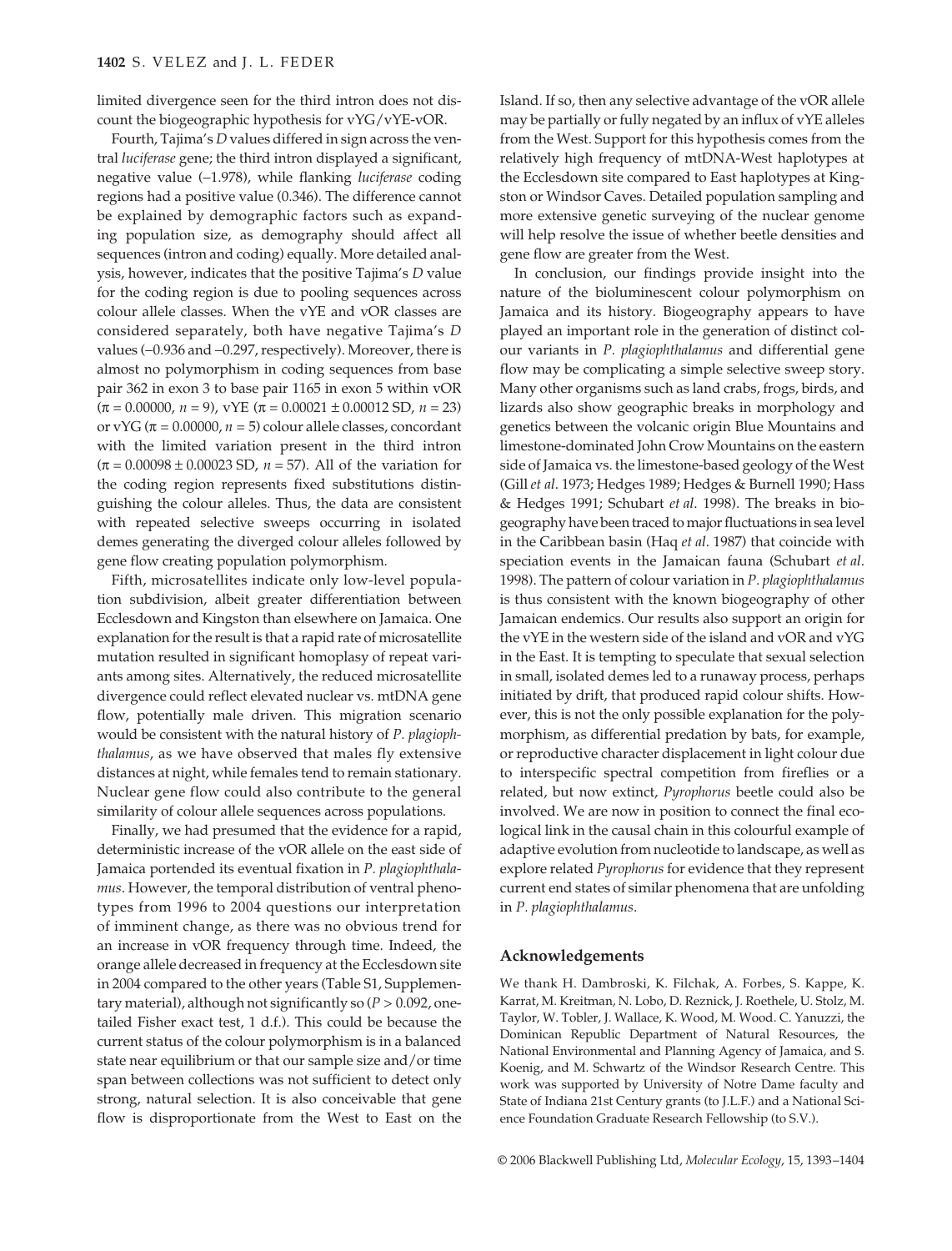limited divergence seen for the third intron does not discount the biogeographic hypothesis for vYG/vYE-vOR.

Fourth, Tajima's *D* values differed in sign across the ventral *luciferase* gene; the third intron displayed a significant, negative value (−1.978), while flanking *luciferase* coding regions had a positive value (0.346). The difference cannot be explained by demographic factors such as expanding population size, as demography should affect all sequences (intron and coding) equally. More detailed analysis, however, indicates that the positive Tajima's *D* value for the coding region is due to pooling sequences across colour allele classes. When the vYE and vOR classes are considered separately, both have negative Tajima's *D* values (−0.936 and −0.297, respectively). Moreover, there is almost no polymorphism in coding sequences from base pair 362 in exon 3 to base pair 1165 in exon 5 within vOR  $(\pi = 0.00000, n = 9)$ , vYE  $(\pi = 0.00021 \pm 0.00012$  SD,  $n = 23)$ or vYG ( $\pi$  = 0.00000,  $n$  = 5) colour allele classes, concordant with the limited variation present in the third intron  $(\pi = 0.00098 \pm 0.00023$  SD,  $n = 57$ ). All of the variation for the coding region represents fixed substitutions distinguishing the colour alleles. Thus, the data are consistent with repeated selective sweeps occurring in isolated demes generating the diverged colour alleles followed by gene flow creating population polymorphism.

Fifth, microsatellites indicate only low-level population subdivision, albeit greater differentiation between Ecclesdown and Kingston than elsewhere on Jamaica. One explanation for the result is that a rapid rate of microsatellite mutation resulted in significant homoplasy of repeat variants among sites. Alternatively, the reduced microsatellite divergence could reflect elevated nuclear vs. mtDNA gene flow, potentially male driven. This migration scenario would be consistent with the natural history of *P. plagiophthalamus*, as we have observed that males fly extensive distances at night, while females tend to remain stationary. Nuclear gene flow could also contribute to the general similarity of colour allele sequences across populations.

Finally, we had presumed that the evidence for a rapid, deterministic increase of the vOR allele on the east side of Jamaica portended its eventual fixation in *P. plagiophthalamus*. However, the temporal distribution of ventral phenotypes from 1996 to 2004 questions our interpretation of imminent change, as there was no obvious trend for an increase in vOR frequency through time. Indeed, the orange allele decreased in frequency at the Ecclesdown site in 2004 compared to the other years (Table S1, Supplementary material), although not significantly so (*P* > 0.092, onetailed Fisher exact test, 1 d.f.). This could be because the current status of the colour polymorphism is in a balanced state near equilibrium or that our sample size and/or time span between collections was not sufficient to detect only strong, natural selection. It is also conceivable that gene flow is disproportionate from the West to East on the Island. If so, then any selective advantage of the vOR allele may be partially or fully negated by an influx of vYE alleles from the West. Support for this hypothesis comes from the relatively high frequency of mtDNA-West haplotypes at the Ecclesdown site compared to East haplotypes at Kingston or Windsor Caves. Detailed population sampling and more extensive genetic surveying of the nuclear genome will help resolve the issue of whether beetle densities and gene flow are greater from the West.

In conclusion, our findings provide insight into the nature of the bioluminescent colour polymorphism on Jamaica and its history. Biogeography appears to have played an important role in the generation of distinct colour variants in *P. plagiophthalamus* and differential gene flow may be complicating a simple selective sweep story. Many other organisms such as land crabs, frogs, birds, and lizards also show geographic breaks in morphology and genetics between the volcanic origin Blue Mountains and limestone-dominated John Crow Mountains on the eastern side of Jamaica vs. the limestone-based geology of the West (Gill *et al*. 1973; Hedges 1989; Hedges & Burnell 1990; Hass & Hedges 1991; Schubart *et al*. 1998). The breaks in biogeography have been traced to major fluctuations in sea level in the Caribbean basin (Haq *et al*. 1987) that coincide with speciation events in the Jamaican fauna (Schubart *et al*. 1998). The pattern of colour variation in *P. plagiophthalamus* is thus consistent with the known biogeography of other Jamaican endemics. Our results also support an origin for the vYE in the western side of the island and vOR and vYG in the East. It is tempting to speculate that sexual selection in small, isolated demes led to a runaway process, perhaps initiated by drift, that produced rapid colour shifts. However, this is not the only possible explanation for the polymorphism, as differential predation by bats, for example, or reproductive character displacement in light colour due to interspecific spectral competition from fireflies or a related, but now extinct, *Pyrophorus* beetle could also be involved. We are now in position to connect the final ecological link in the causal chain in this colourful example of adaptive evolution from nucleotide to landscape, as well as explore related *Pyrophorus* for evidence that they represent current end states of similar phenomena that are unfolding in *P. plagiophthalamus*.

#### **Acknowledgements**

We thank H. Dambroski, K. Filchak, A. Forbes, S. Kappe, K. Karrat, M. Kreitman, N. Lobo, D. Reznick, J. Roethele, U. Stolz, M. Taylor, W. Tobler, J. Wallace, K. Wood, M. Wood. C. Yanuzzi, the Dominican Republic Department of Natural Resources, the National Environmental and Planning Agency of Jamaica, and S. Koenig, and M. Schwartz of the Windsor Research Centre. This work was supported by University of Notre Dame faculty and State of Indiana 21st Century grants (to J.L.F.) and a National Science Foundation Graduate Research Fellowship (to S.V.).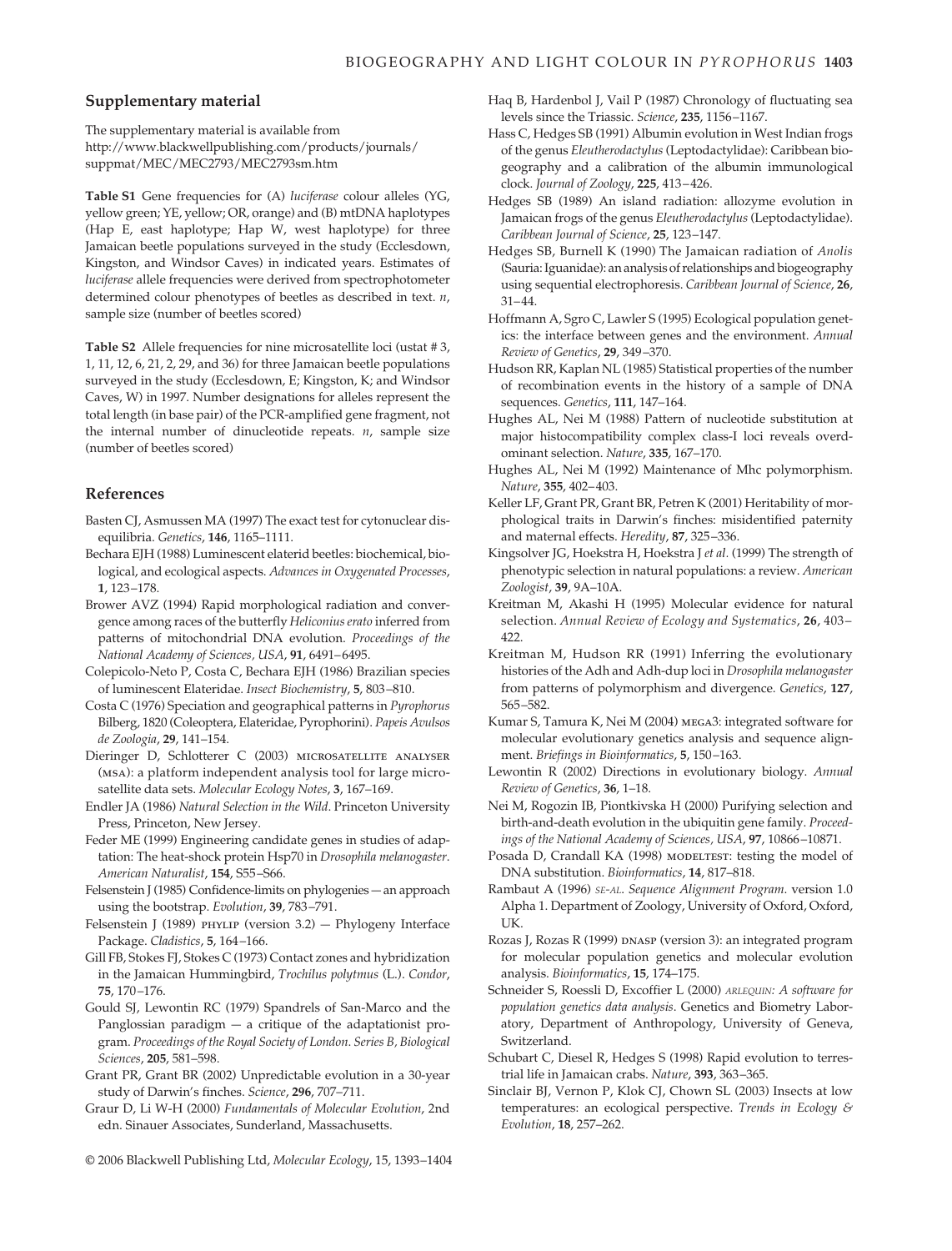#### **Supplementary material**

The supplementary material is available from http://www.blackwellpublishing.com/products/journals/ suppmat/MEC/MEC2793/MEC2793sm.htm

**Table S1** Gene frequencies for (A) *luciferase* colour alleles (YG, yellow green; YE, yellow; OR, orange) and (B) mtDNA haplotypes (Hap E, east haplotype; Hap W, west haplotype) for three Jamaican beetle populations surveyed in the study (Ecclesdown, Kingston, and Windsor Caves) in indicated years. Estimates of *luciferase* allele frequencies were derived from spectrophotometer determined colour phenotypes of beetles as described in text. *n*, sample size (number of beetles scored)

**Table S2** Allele frequencies for nine microsatellite loci (ustat # 3, 1, 11, 12, 6, 21, 2, 29, and 36) for three Jamaican beetle populations surveyed in the study (Ecclesdown, E; Kingston, K; and Windsor Caves, W) in 1997. Number designations for alleles represent the total length (in base pair) of the PCR-amplified gene fragment, not the internal number of dinucleotide repeats. *n*, sample size (number of beetles scored)

# **References**

- Basten CJ, Asmussen MA (1997) The exact test for cytonuclear disequilibria. *Genetics*, **146**, 1165–1111.
- Bechara EJH (1988) Luminescent elaterid beetles: biochemical, biological, and ecological aspects. *Advances in Oxygenated Processes*, **1**, 123–178.
- Brower AVZ (1994) Rapid morphological radiation and convergence among races of the butterfly *Heliconius erato* inferred from patterns of mitochondrial DNA evolution. *Proceedings of the National Academy of Sciences, USA*, **91**, 6491–6495.
- Colepicolo-Neto P, Costa C, Bechara EJH (1986) Brazilian species of luminescent Elateridae. *Insect Biochemistry*, **5**, 803–810.
- Costa C (1976) Speciation and geographical patterns in *Pyrophorus* Bilberg, 1820 (Coleoptera, Elateridae, Pyrophorini). *Papeis Avulsos de Zoologia*, **29**, 141–154.
- Dieringer D, Schlotterer C (2003) microsatellite analyser (msa): a platform independent analysis tool for large microsatellite data sets. *Molecular Ecology Notes*, **3**, 167–169.
- Endler JA (1986) *Natural Selection in the Wild*. Princeton University Press, Princeton, New Jersey.
- Feder ME (1999) Engineering candidate genes in studies of adaptation: The heat-shock protein Hsp70 in *Drosophila melanogaster*. *American Naturalist*, **154**, S55–S66.
- Felsenstein J (1985) Confidence-limits on phylogenies an approach using the bootstrap. *Evolution*, **39**, 783–791.
- Felsenstein J (1989) PHYLIP (version 3.2) Phylogeny Interface Package. *Cladistics*, **5**, 164–166.
- Gill FB, Stokes FJ, Stokes C (1973) Contact zones and hybridization in the Jamaican Hummingbird, *Trochilus polytmus* (L.). *Condor*, **75**, 170–176.
- Gould SJ, Lewontin RC (1979) Spandrels of San-Marco and the Panglossian paradigm  $-$  a critique of the adaptationist program. *Proceedings of the Royal Society of London*. *Series B, Biological Sciences*, **205**, 581–598.
- Grant PR, Grant BR (2002) Unpredictable evolution in a 30-year study of Darwin's finches. *Science*, **296**, 707–711.
- Graur D, Li W-H (2000) *Fundamentals of Molecular Evolution*, 2nd edn. Sinauer Associates, Sunderland, Massachusetts.
- © 2006 Blackwell Publishing Ltd, *Molecular Ecology*, 15, 1393–1404
- Haq B, Hardenbol J, Vail P (1987) Chronology of fluctuating sea levels since the Triassic. *Science*, **235**, 1156–1167.
- Hass C, Hedges SB (1991) Albumin evolution in West Indian frogs of the genus *Eleutherodactylus* (Leptodactylidae): Caribbean biogeography and a calibration of the albumin immunological clock. *Journal of Zoology*, **225**, 413–426.
- Hedges SB (1989) An island radiation: allozyme evolution in Jamaican frogs of the genus *Eleutherodactylus* (Leptodactylidae). *Caribbean Journal of Science*, **25**, 123–147.
- Hedges SB, Burnell K (1990) The Jamaican radiation of *Anolis* (Sauria: Iguanidae): an analysis of relationships and biogeography using sequential electrophoresis. *Caribbean Journal of Science*, **26**, 31–44.
- Hoffmann A, Sgro C, Lawler S (1995) Ecological population genetics: the interface between genes and the environment. *Annual Review of Genetics*, **29**, 349–370.
- Hudson RR, Kaplan NL (1985) Statistical properties of the number of recombination events in the history of a sample of DNA sequences. *Genetics*, **111**, 147–164.
- Hughes AL, Nei M (1988) Pattern of nucleotide substitution at major histocompatibility complex class-I loci reveals overdominant selection. *Nature*, **335**, 167–170.
- Hughes AL, Nei M (1992) Maintenance of Mhc polymorphism. *Nature*, **355**, 402–403.
- Keller LF, Grant PR, Grant BR, Petren K (2001) Heritability of morphological traits in Darwin's finches: misidentified paternity and maternal effects. *Heredity*, **87**, 325–336.
- Kingsolver JG, Hoekstra H, Hoekstra J *et al.* (1999) The strength of phenotypic selection in natural populations: a review. *American Zoologist*, **39**, 9A–10A.
- Kreitman M, Akashi H (1995) Molecular evidence for natural selection. *Annual Review of Ecology and Systematics*, **26**, 403– 422.
- Kreitman M, Hudson RR (1991) Inferring the evolutionary histories of the Adh and Adh-dup loci in *Drosophila melanogaster* from patterns of polymorphism and divergence. *Genetics*, **127**, 565–582.
- Kumar S, Tamura K, Nei M (2004) mega3: integrated software for molecular evolutionary genetics analysis and sequence alignment. *Briefings in Bioinformatics*, **5**, 150–163.
- Lewontin R (2002) Directions in evolutionary biology. *Annual Review of Genetics*, **36**, 1–18.
- Nei M, Rogozin IB, Piontkivska H (2000) Purifying selection and birth-and-death evolution in the ubiquitin gene family. *Proceedings of the National Academy of Sciences, USA*, **97**, 10866–10871.
- Posada D, Crandall KA (1998) MODELTEST: testing the model of DNA substitution. *Bioinformatics*, **14**, 817–818.
- Rambaut A (1996) *SE-AL*. *Sequence Alignment Program*. version 1.0 Alpha 1. Department of Zoology, University of Oxford, Oxford, UK.
- Rozas J, Rozas R (1999) DNASP (version 3): an integrated program for molecular population genetics and molecular evolution analysis. *Bioinformatics*, **15**, 174–175.
- Schneider S, Roessli D, Excoffier L (2000) *ARLEQUIN: A software for population genetics data analysis*. Genetics and Biometry Laboratory, Department of Anthropology, University of Geneva, Switzerland.
- Schubart C, Diesel R, Hedges S (1998) Rapid evolution to terrestrial life in Jamaican crabs. *Nature*, **393**, 363–365.
- Sinclair BJ, Vernon P, Klok CJ, Chown SL (2003) Insects at low temperatures: an ecological perspective. *Trends in Ecology & Evolution*, **18**, 257–262.